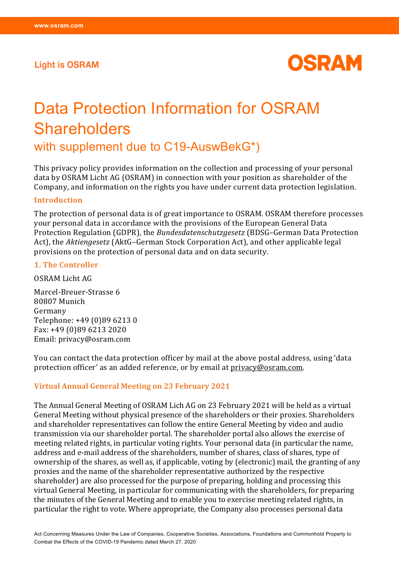# **Light is OSRAM**



# Data Protection Information for OSRAM **Shareholders**

with supplement due to C19-AuswBekG\*)

This privacy policy provides information on the collection and processing of your personal data by OSRAM Licht AG (OSRAM) in connection with your position as shareholder of the Company, and information on the rights you have under current data protection legislation.

#### **Introduction**

The protection of personal data is of great importance to OSRAM. OSRAM therefore processes your personal data in accordance with the provisions of the European General Data Protection Regulation (GDPR), the *Bundesdatenschutzgesetz* (BDSG–German Data Protection Act), the *Aktiengesetz* (AktG–German Stock Corporation Act), and other applicable legal provisions on the protection of personal data and on data security.

#### **1. The Controller**

OSRAM Licht AG

Marcel-Breuer-Strasse 6 80807 Munich Germany Telephone: +49 (0)89 6213 0 Fax: +49 (0)89 6213 2020 Email: privacy@osram.com

You can contact the data protection officer by mail at the above postal address, using 'data protection officer' as an added reference, or by email at [privacy@osram.com.](mailto:privacy@osram.com)

#### **Virtual Annual General Meeting on 23 February 2021**

The Annual General Meeting of OSRAM Lich AG on 23 February 2021 will be held as a virtual General Meeting without physical presence of the shareholders or their proxies. Shareholders and shareholder representatives can follow the entire General Meeting by video and audio transmission via our shareholder portal. The shareholder portal also allows the exercise of meeting related rights, in particular voting rights. Your personal data (in particular the name, address and e-mail address of the shareholders, number of shares, class of shares, type of ownership of the shares, as well as, if applicable, voting by (electronic) mail, the granting of any proxies and the name of the shareholder representative authorized by the respective shareholder) are also processed for the purpose of preparing, holding and processing this virtual General Meeting, in particular for communicating with the shareholders, for preparing the minutes of the General Meeting and to enable you to exercise meeting related rights, in particular the right to vote. Where appropriate, the Company also processes personal data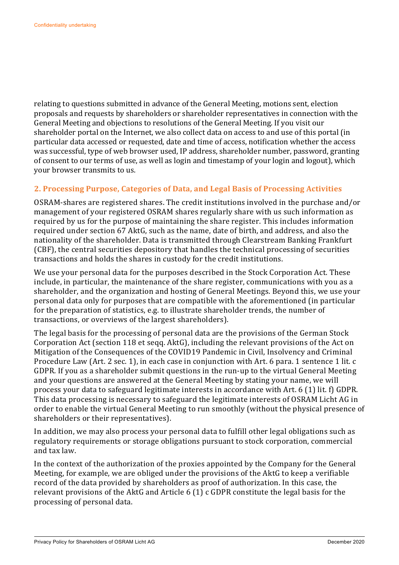relating to questions submitted in advance of the General Meeting, motions sent, election proposals and requests by shareholders or shareholder representatives in connection with the General Meeting and objections to resolutions of the General Meeting. If you visit our shareholder portal on the Internet, we also collect data on access to and use of this portal (in particular data accessed or requested, date and time of access, notification whether the access was successful, type of web browser used, IP address, shareholder number, password, granting of consent to our terms of use, as well as login and timestamp of your login and logout), which your browser transmits to us.

# **2. Processing Purpose, Categories of Data, and Legal Basis of Processing Activities**

OSRAM-shares are registered shares. The credit institutions involved in the purchase and/or management of your registered OSRAM shares regularly share with us such information as required by us for the purpose of maintaining the share register. This includes information required under section 67 AktG, such as the name, date of birth, and address, and also the nationality of the shareholder. Data is transmitted through Clearstream Banking Frankfurt (CBF), the central securities depository that handles the technical processing of securities transactions and holds the shares in custody for the credit institutions.

We use your personal data for the purposes described in the Stock Corporation Act. These include, in particular, the maintenance of the share register, communications with you as a shareholder, and the organization and hosting of General Meetings. Beyond this, we use your personal data only for purposes that are compatible with the aforementioned (in particular for the preparation of statistics, e.g. to illustrate shareholder trends, the number of transactions, or overviews of the largest shareholders).

The legal basis for the processing of personal data are the provisions of the German Stock Corporation Act (section 118 et seqq. AktG), including the relevant provisions of the Act on Mitigation of the Consequences of the COVID19 Pandemic in Civil, Insolvency and Criminal Procedure Law (Art. 2 sec. 1), in each case in conjunction with Art. 6 para. 1 sentence 1 lit. c GDPR. If you as a shareholder submit questions in the run-up to the virtual General Meeting and your questions are answered at the General Meeting by stating your name, we will process your data to safeguard legitimate interests in accordance with Art. 6 (1) lit. f) GDPR. This data processing is necessary to safeguard the legitimate interests of OSRAM Licht AG in order to enable the virtual General Meeting to run smoothly (without the physical presence of shareholders or their representatives).

In addition, we may also process your personal data to fulfill other legal obligations such as regulatory requirements or storage obligations pursuant to stock corporation, commercial and tax law.

In the context of the authorization of the proxies appointed by the Company for the General Meeting, for example, we are obliged under the provisions of the AktG to keep a verifiable record of the data provided by shareholders as proof of authorization. In this case, the relevant provisions of the AktG and Article 6 (1) c GDPR constitute the legal basis for the processing of personal data.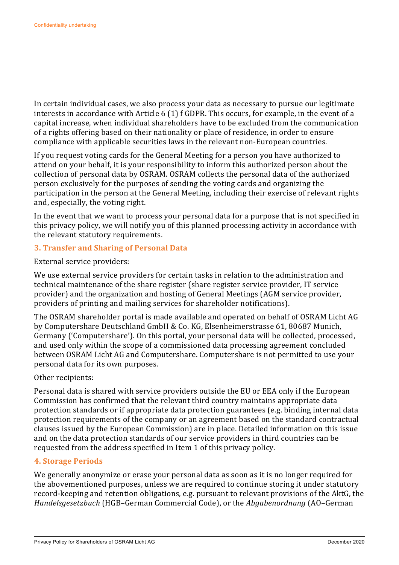In certain individual cases, we also process your data as necessary to pursue our legitimate interests in accordance with Article 6 (1) f GDPR. This occurs, for example, in the event of a capital increase, when individual shareholders have to be excluded from the communication of a rights offering based on their nationality or place of residence, in order to ensure compliance with applicable securities laws in the relevant non-European countries.

If you request voting cards for the General Meeting for a person you have authorized to attend on your behalf, it is your responsibility to inform this authorized person about the collection of personal data by OSRAM. OSRAM collects the personal data of the authorized person exclusively for the purposes of sending the voting cards and organizing the participation in the person at the General Meeting, including their exercise of relevant rights and, especially, the voting right.

In the event that we want to process your personal data for a purpose that is not specified in this privacy policy, we will notify you of this planned processing activity in accordance with the relevant statutory requirements.

# **3. Transfer and Sharing of Personal Data**

External service providers:

We use external service providers for certain tasks in relation to the administration and technical maintenance of the share register (share register service provider, IT service provider) and the organization and hosting of General Meetings (AGM service provider, providers of printing and mailing services for shareholder notifications).

The OSRAM shareholder portal is made available and operated on behalf of OSRAM Licht AG by Computershare Deutschland GmbH & Co. KG, Elsenheimerstrasse 61, 80687 Munich, Germany ('Computershare'). On this portal, your personal data will be collected, processed, and used only within the scope of a commissioned data processing agreement concluded between OSRAM Licht AG and Computershare. Computershare is not permitted to use your personal data for its own purposes.

# Other recipients:

Personal data is shared with service providers outside the EU or EEA only if the European Commission has confirmed that the relevant third country maintains appropriate data protection standards or if appropriate data protection guarantees (e.g. binding internal data protection requirements of the company or an agreement based on the standard contractual clauses issued by the European Commission) are in place. Detailed information on this issue and on the data protection standards of our service providers in third countries can be requested from the address specified in Item 1 of this privacy policy.

# **4. Storage Periods**

We generally anonymize or erase your personal data as soon as it is no longer required for the abovementioned purposes, unless we are required to continue storing it under statutory record-keeping and retention obligations, e.g. pursuant to relevant provisions of the AktG, the *Handelsgesetzbuch* (HGB–German Commercial Code), or the *Abgabenordnung* (AO–German